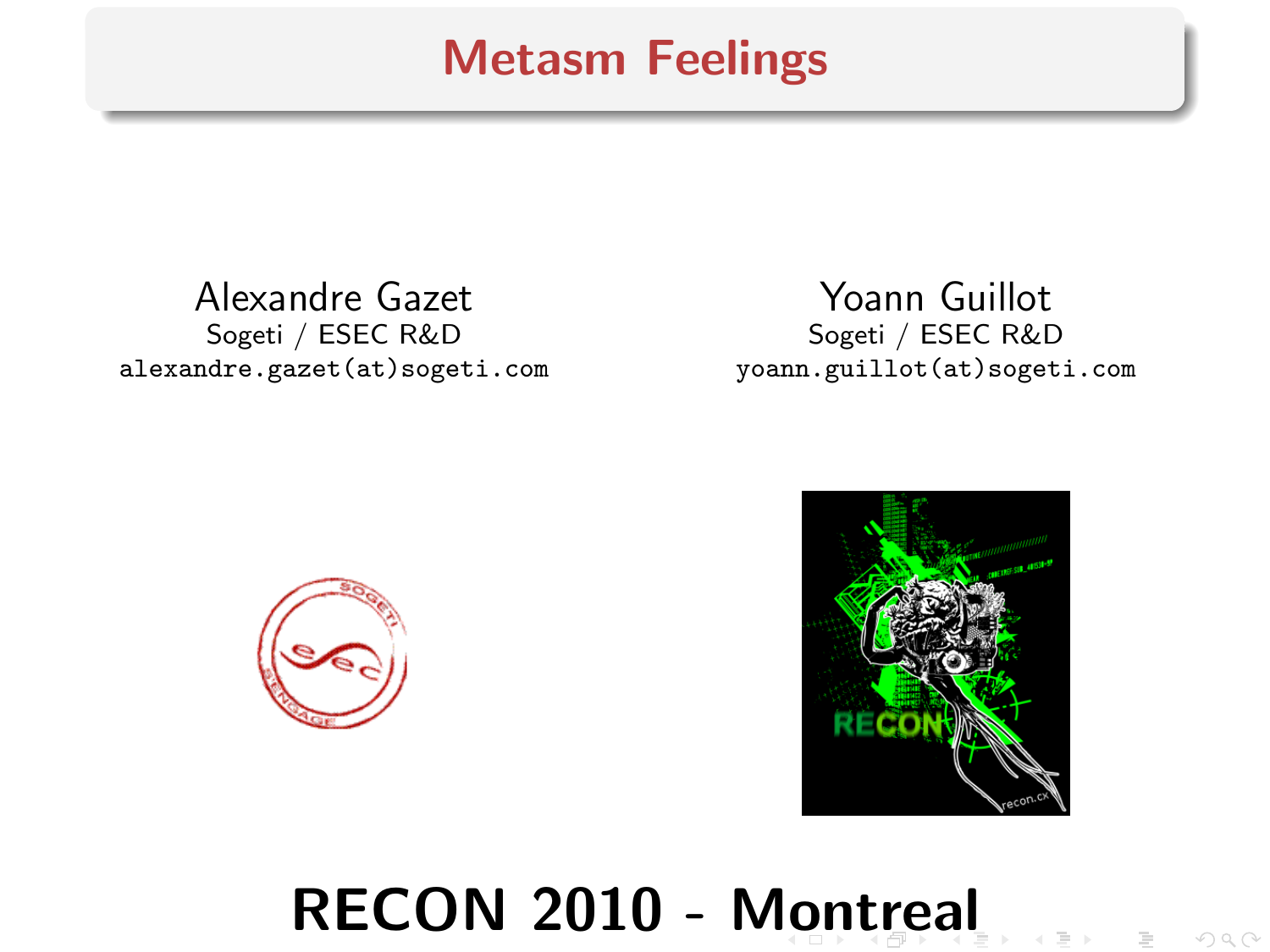## Metasm Feelings

Alexandre Gazet Sogeti / ESEC R&D alexandre.gazet(at)sogeti.com

Yoann Guillot Sogeti / ESEC R&D yoann.guillot(at)sogeti.com





# <span id="page-0-0"></span>RECON 2010 - [Mo](#page-0-0)[n](#page-1-0)[tr](#page-0-0)[e](#page-1-0)[al](#page-0-0)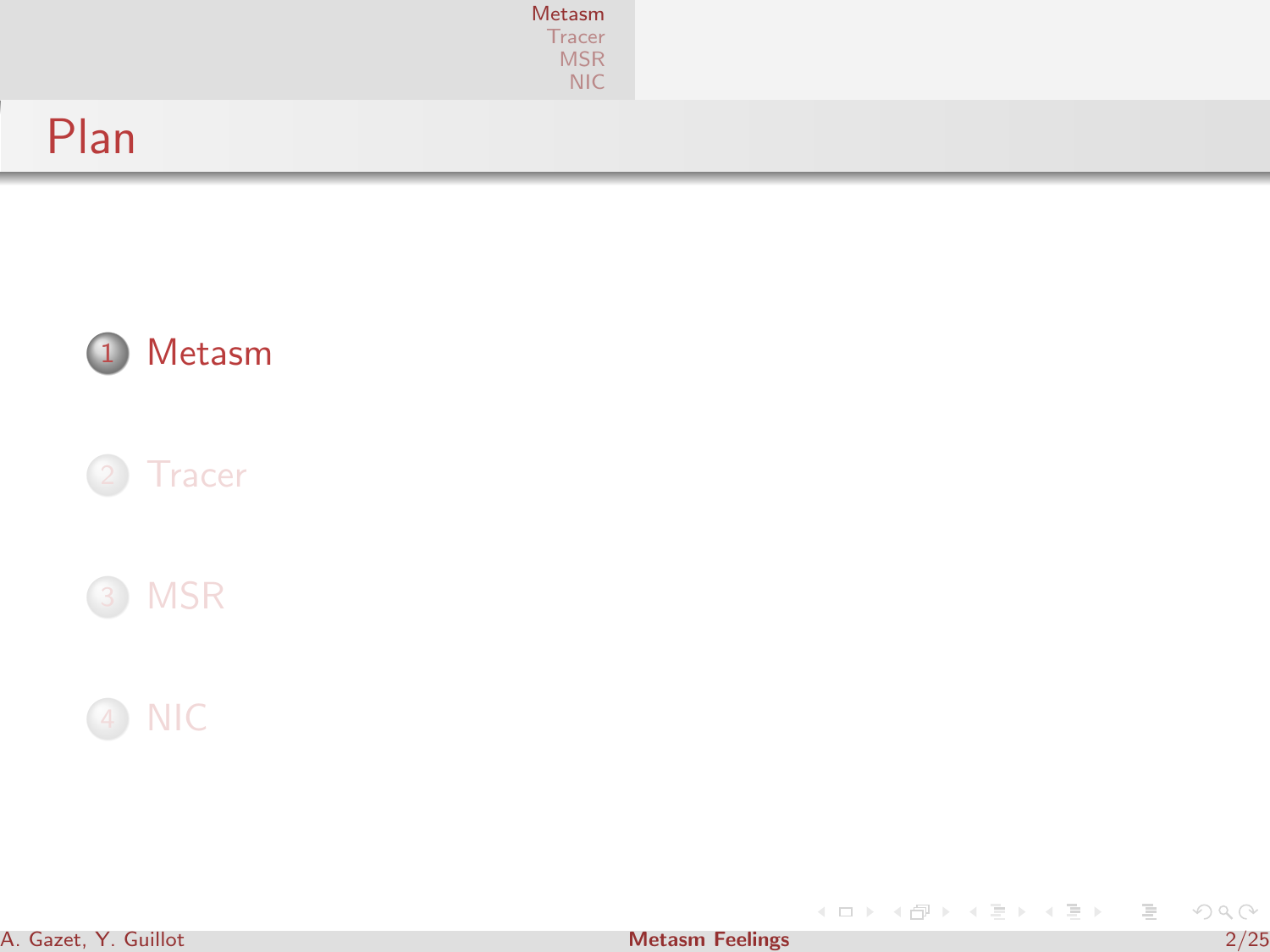|      | Metasm<br>Tracer<br>MSR<br>NIC |  |
|------|--------------------------------|--|
| Plan |                                |  |







<span id="page-1-0"></span>イロト イ部 トイをト イをトー 老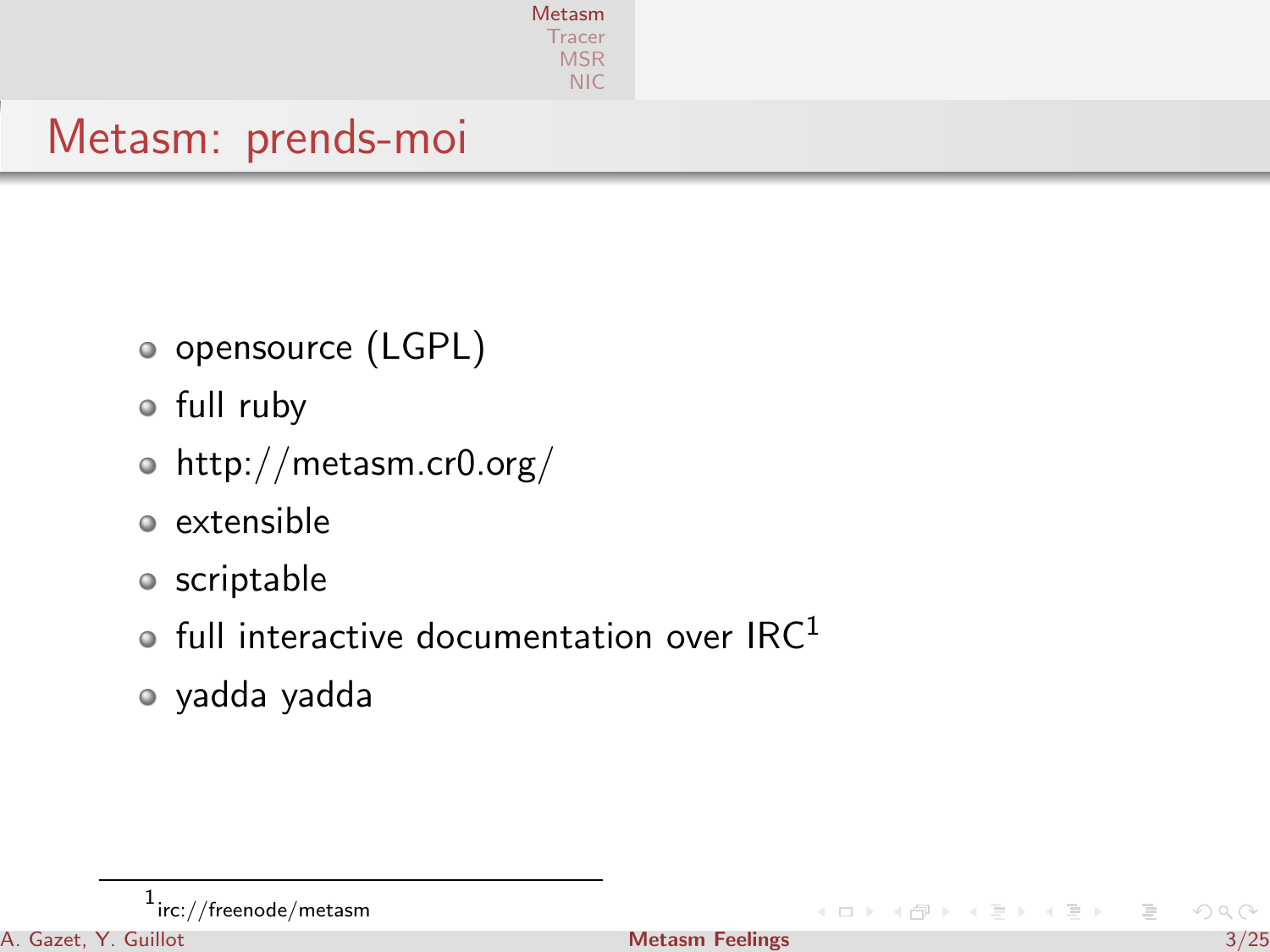|                    | Metasm<br>Tracer<br><b>MSR</b><br><b>NIC</b> |  |  |
|--------------------|----------------------------------------------|--|--|
| Metasm: prends-moi |                                              |  |  |

- opensource (LGPL)
- full ruby
- http://metasm.cr0.org/
- extensible
- o scriptable
- $\bullet$  full interactive documentation over IRC<sup>1</sup>
- yadda yadda

 $+$   $+$   $+$   $+$   $+$   $+$   $+$   $+$ 

 $\equiv$   $\rightarrow$  $\equiv$ 

 $^1$ irc://freenode/metasm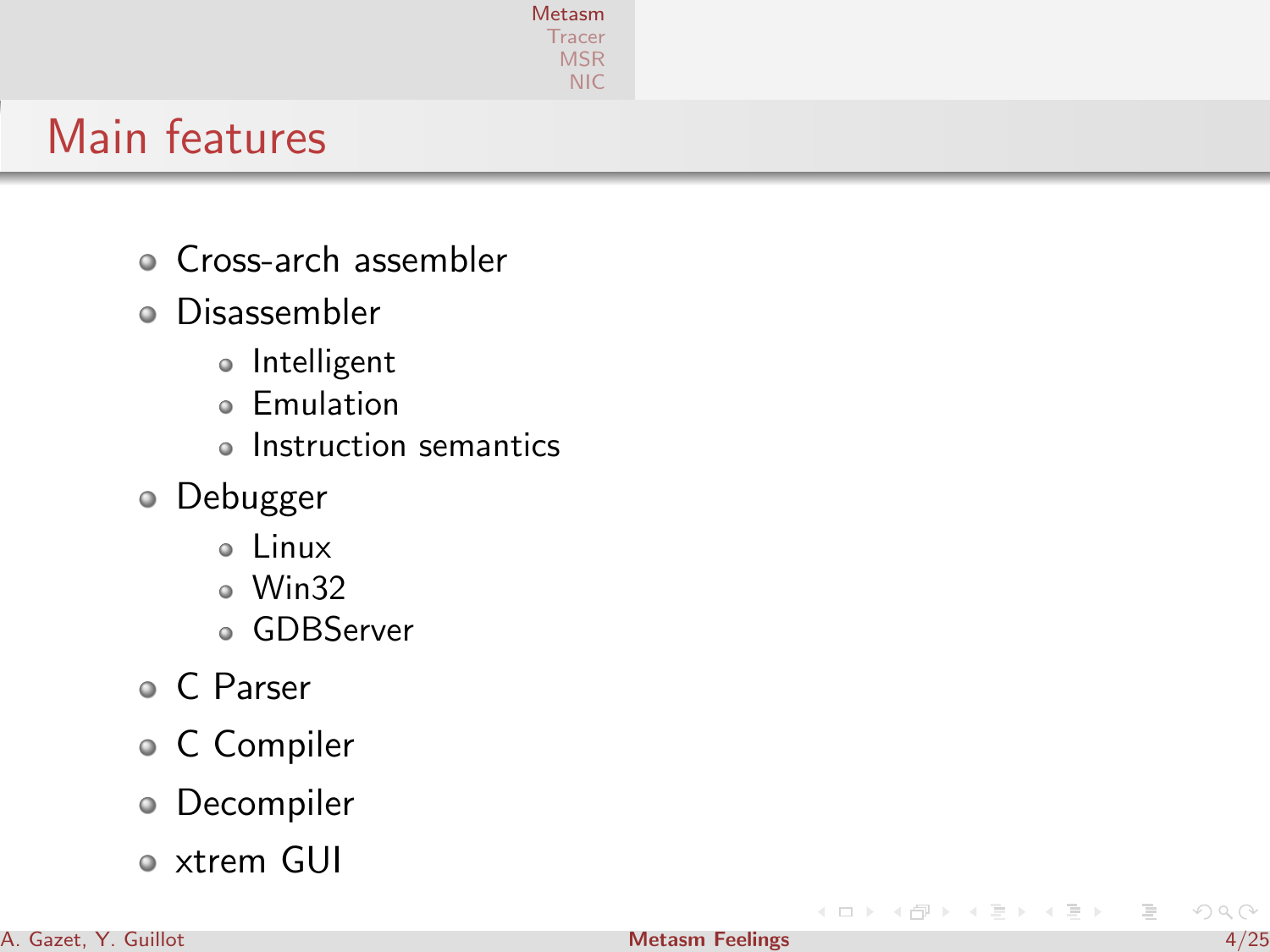

# Main features

- Cross-arch assembler
- Disassembler
	- o Intelligent
	- **e** Emulation
	- Instruction semantics
- Debugger
	- Linux
	- Win32
	- GDBServer
- C Parser
- C Compiler
- Decompiler
- xtrem GUI

**K ロト K 何 ト K** 

 $\equiv$   $\rightarrow$  $\equiv$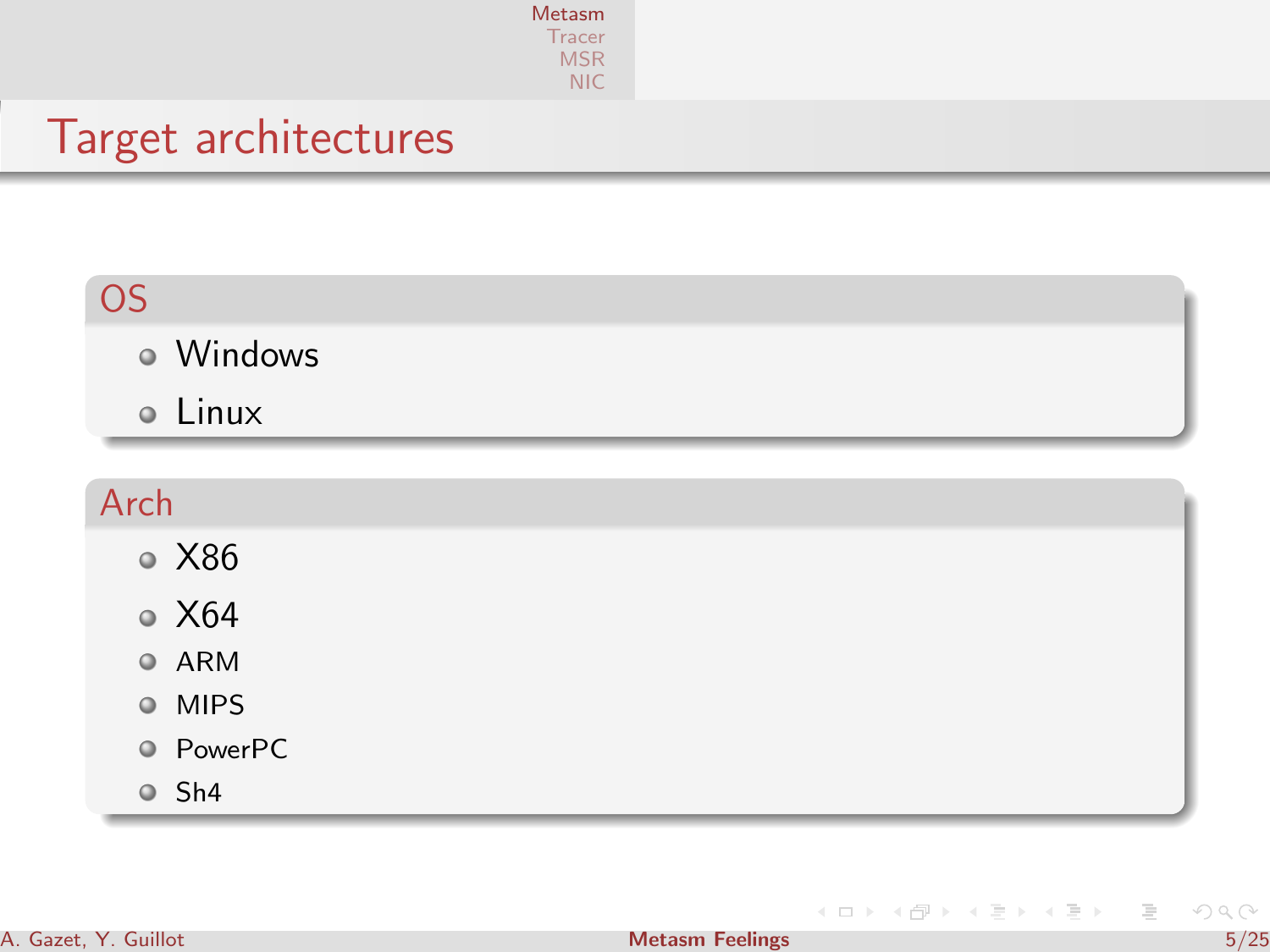| Metasm         |  |
|----------------|--|
| <u>I</u> racer |  |
| MSR            |  |
| NIC            |  |

## Target architectures

| <b>OS</b> |  |
|-----------|--|
| · Windows |  |
| · Linux   |  |
|           |  |
|           |  |
| Arch      |  |
| ● X86     |  |

- ARM
- MIPS
- PowerPC
- Sh4

イロン イ部ン イミン イミン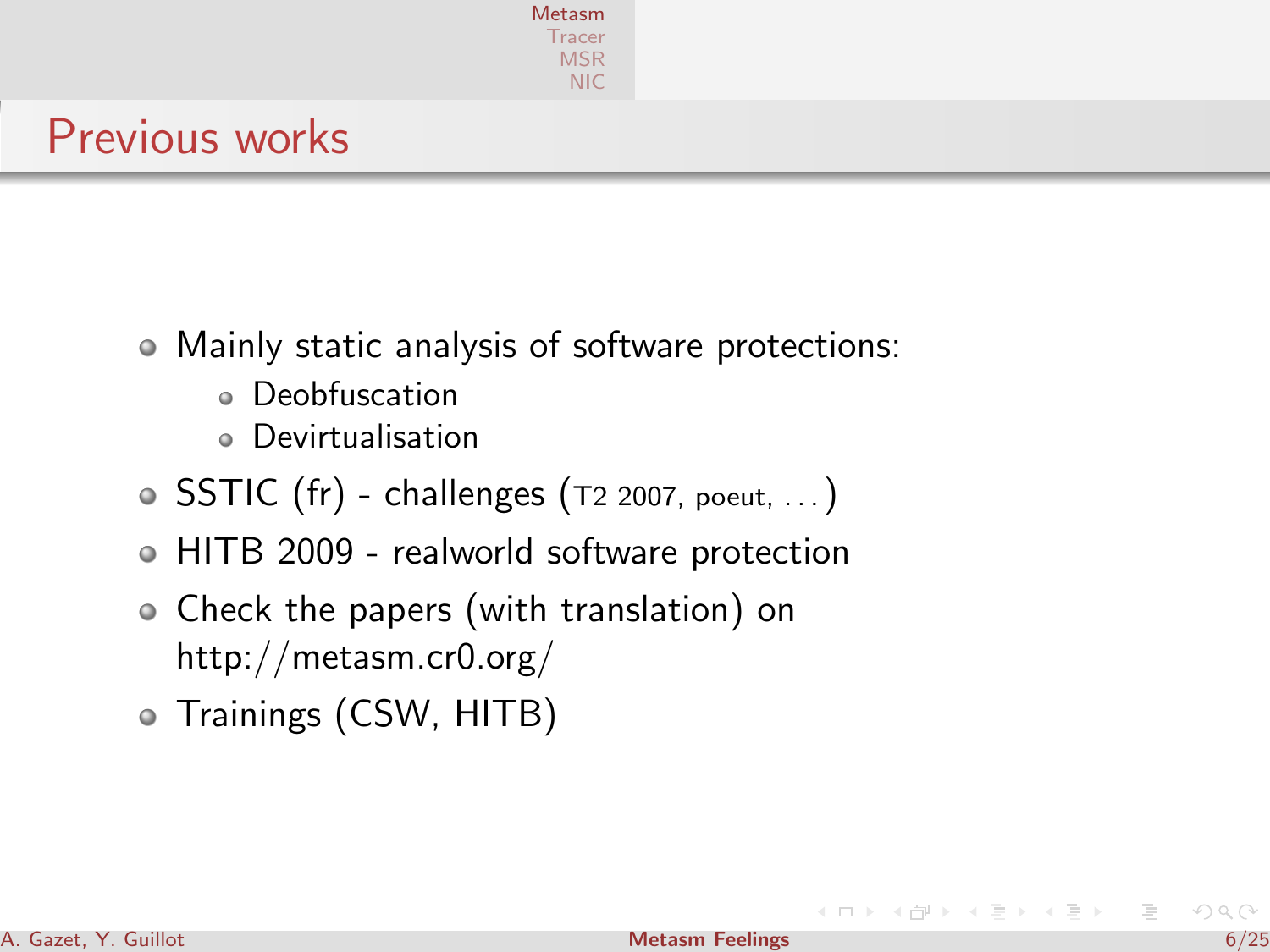|                       | <b>Metasm</b><br>Tracer<br><b>MSR</b><br><b>NIC</b> |  |  |
|-----------------------|-----------------------------------------------------|--|--|
| <b>Previous works</b> |                                                     |  |  |

- Mainly static analysis of software protections:
	- Deobfuscation
	- Devirtualisation
- $\circ$  SSTIC (fr) challenges (T2 2007, poeut, ...)
- HITB 2009 realworld software protection
- Check the papers (with translation) on http://metasm.cr0.org/
- Trainings (CSW, HITB)

→ 假 →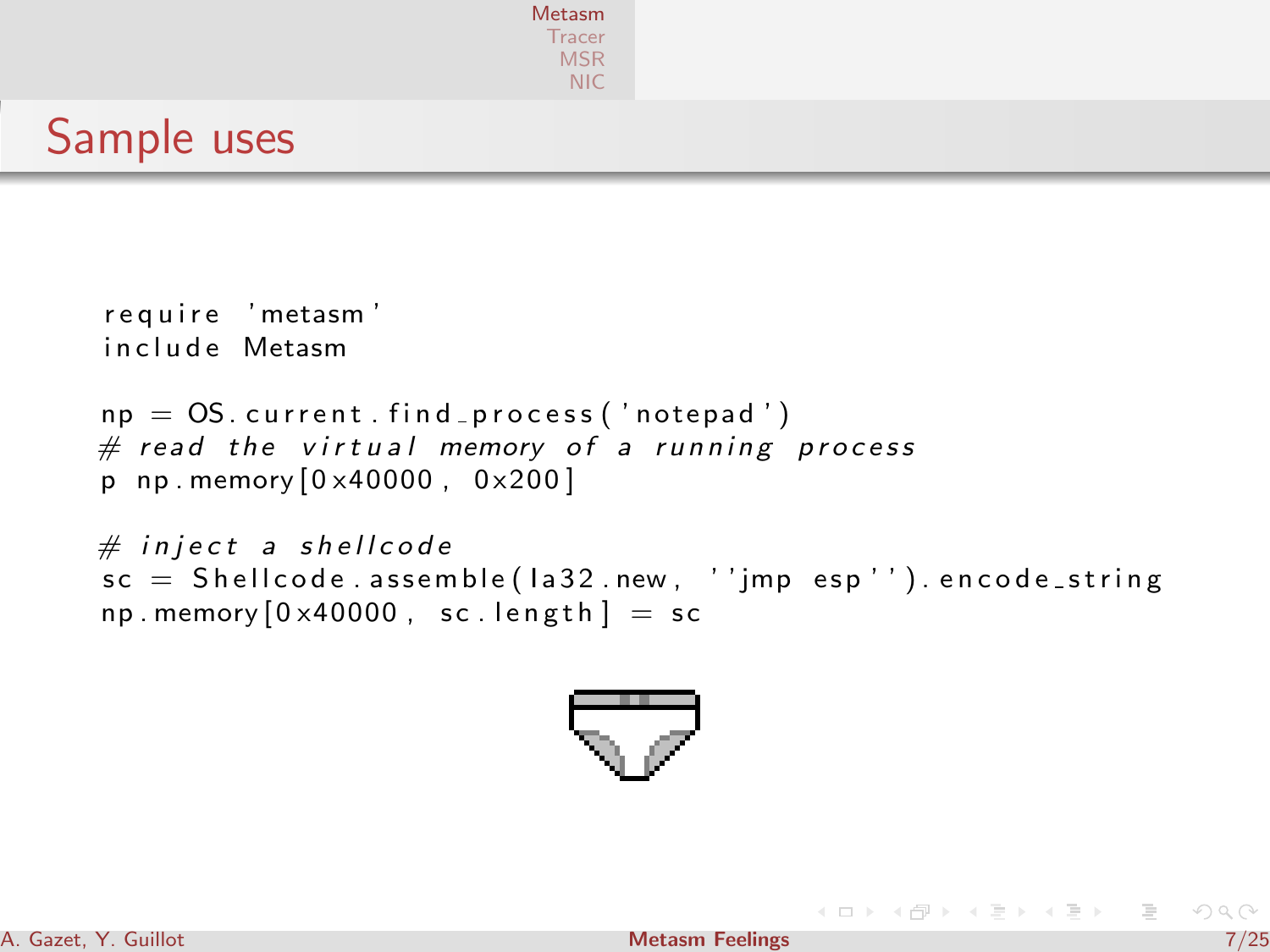|             | <b>Metasm</b><br>Tracer<br><b>MSR</b><br><b>NIC</b> |
|-------------|-----------------------------------------------------|
| Sample uses |                                                     |

```
require 'metasm'
in clude Metasm
np = OS. current . find process ('notepad')
# read the virtual memory of a running process
p np. memory [0 \times 40000, 0 \times 200]# inject a shellcode
sc = Sh ell code . assemble (la 32 . new , ' ' imp esp'') . encode string
np. memory [0 \times 40000, sc. length ] = sc
```


**K ロト K 倒 ト K 手** 

 $\mathbb{R} \rightarrow \mathbb{R}$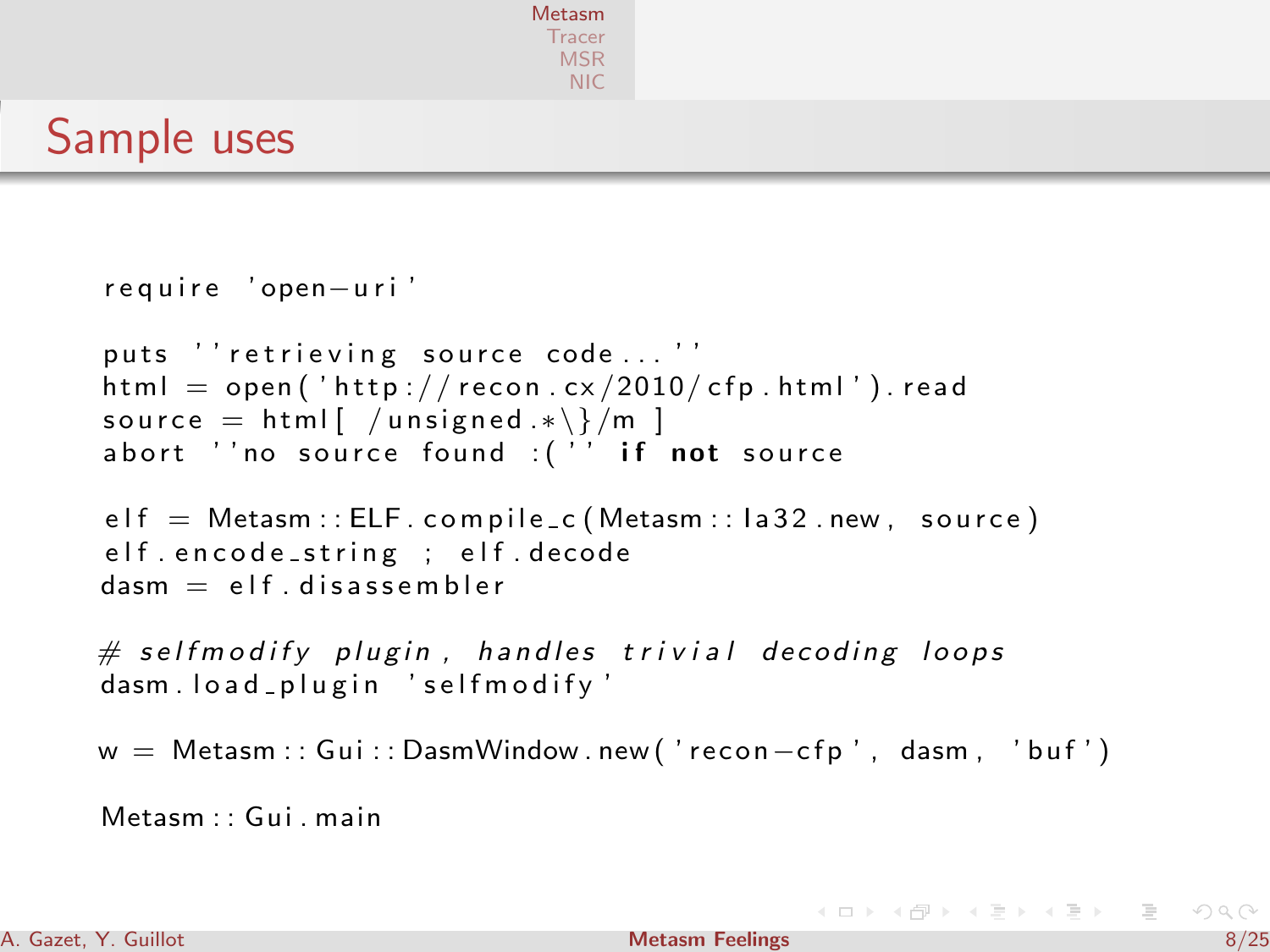```
Metasm
 Tracer
  MSR
   NIC
```
Sample uses

```
require 'open-uri'
puts '' retrieving source code ...''
html = open ('http://recon.cx/2010/cfp.html').read
source = html \left( /unsigned *\\right)/m ]
abort ''no source found :( '' if not source
elf = Metasm :: ELF : compile_c (Metasm :: la 32 . new, source)elf encode_string ; elf decode
dasm = e/f. disassembler
\# selfmodify plugin, handles trivial decoding loops
dasm. load plugin 'selfmodify'
w = Metasm::Gui::DasmWindow.new('recon–cfp', dasm, 'buf')Metsom \cdot : Gui main
```
 $\mathcal{A} \otimes \mathcal{A} \rightarrow \mathcal{A} \otimes \mathcal{B} \rightarrow \mathcal{A} \otimes \mathcal{B} \rightarrow \mathcal{A} \otimes \mathcal{B} \rightarrow \mathcal{A} \otimes \mathcal{B}$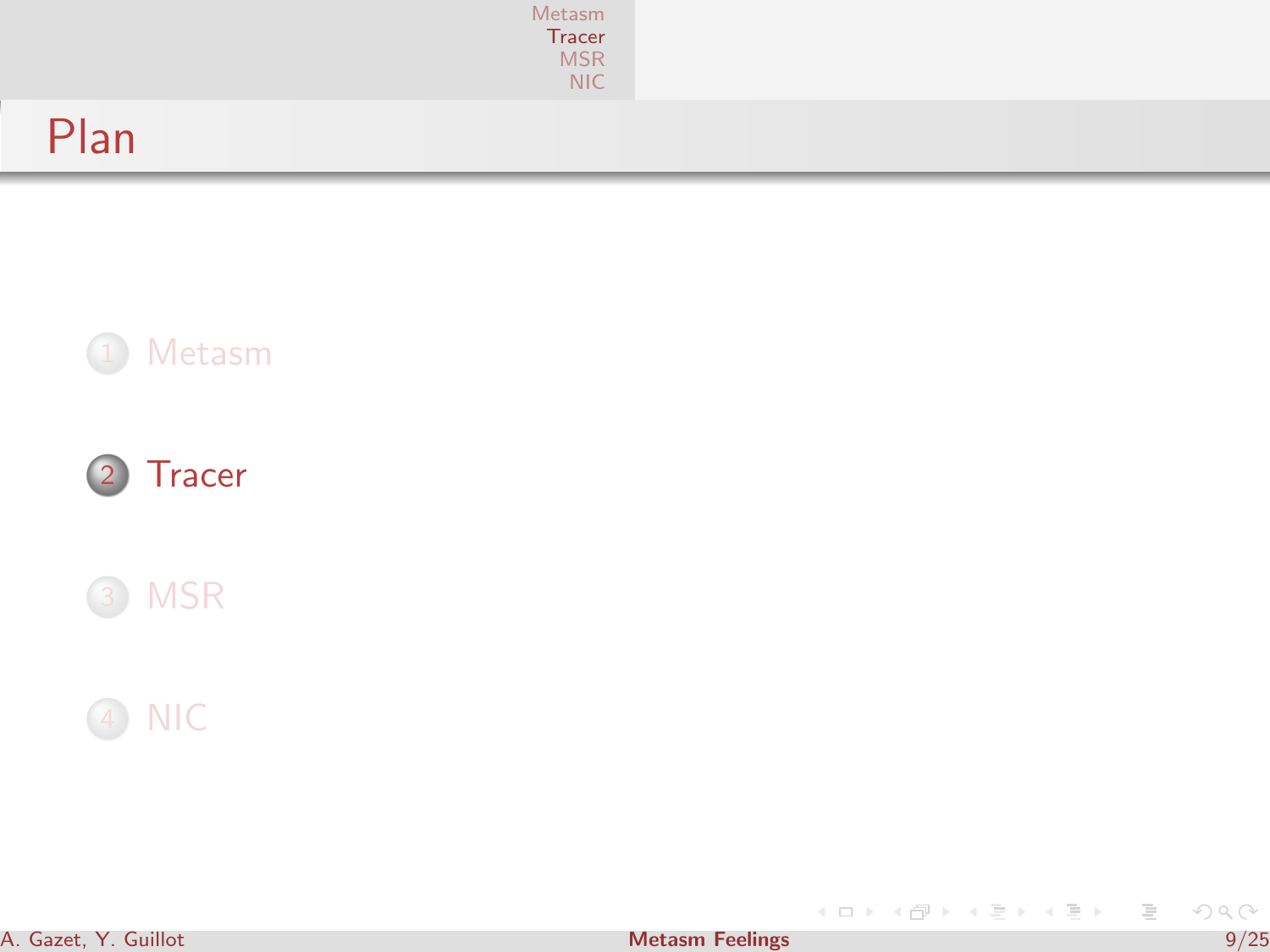|      | Metasm<br>Tracer<br>MSR<br>NIC |  |
|------|--------------------------------|--|
| Plan |                                |  |







<span id="page-8-0"></span>イロト (個) (変) (変) (変) 三重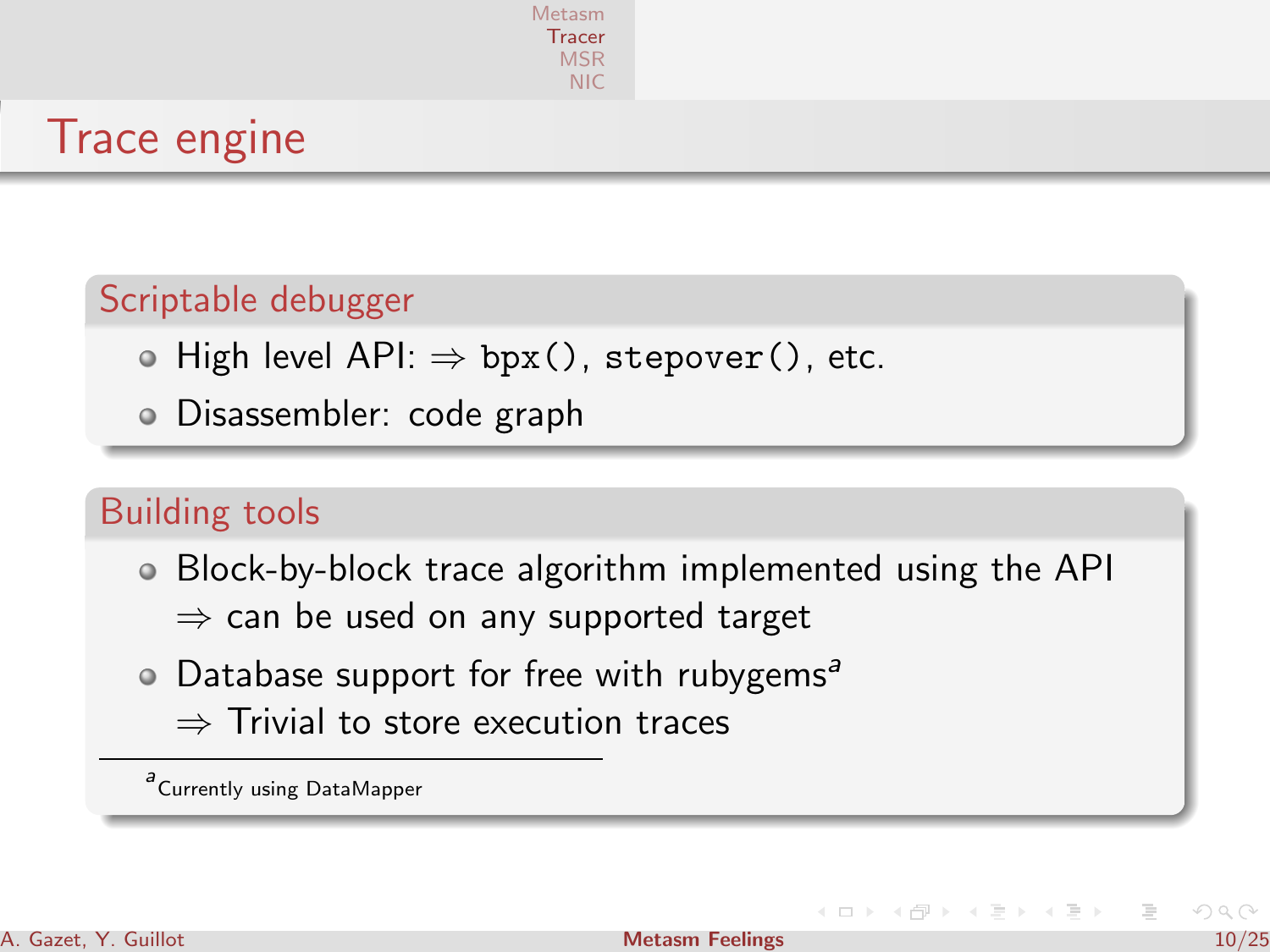

# Trace engine

#### Scriptable debugger

- $\bullet$  High level API:  $\Rightarrow$  bpx(), stepover(), etc.
- Disassembler: code graph

#### Building tools

- Block-by-block trace algorithm implemented using the API
	- $\Rightarrow$  can be used on any supported target
- $\bullet$  Database support for free with rubygems<sup>a</sup> ⇒ Trivial to store execution traces

a<br>Currently using DataMapper

イロト イ母ト イラト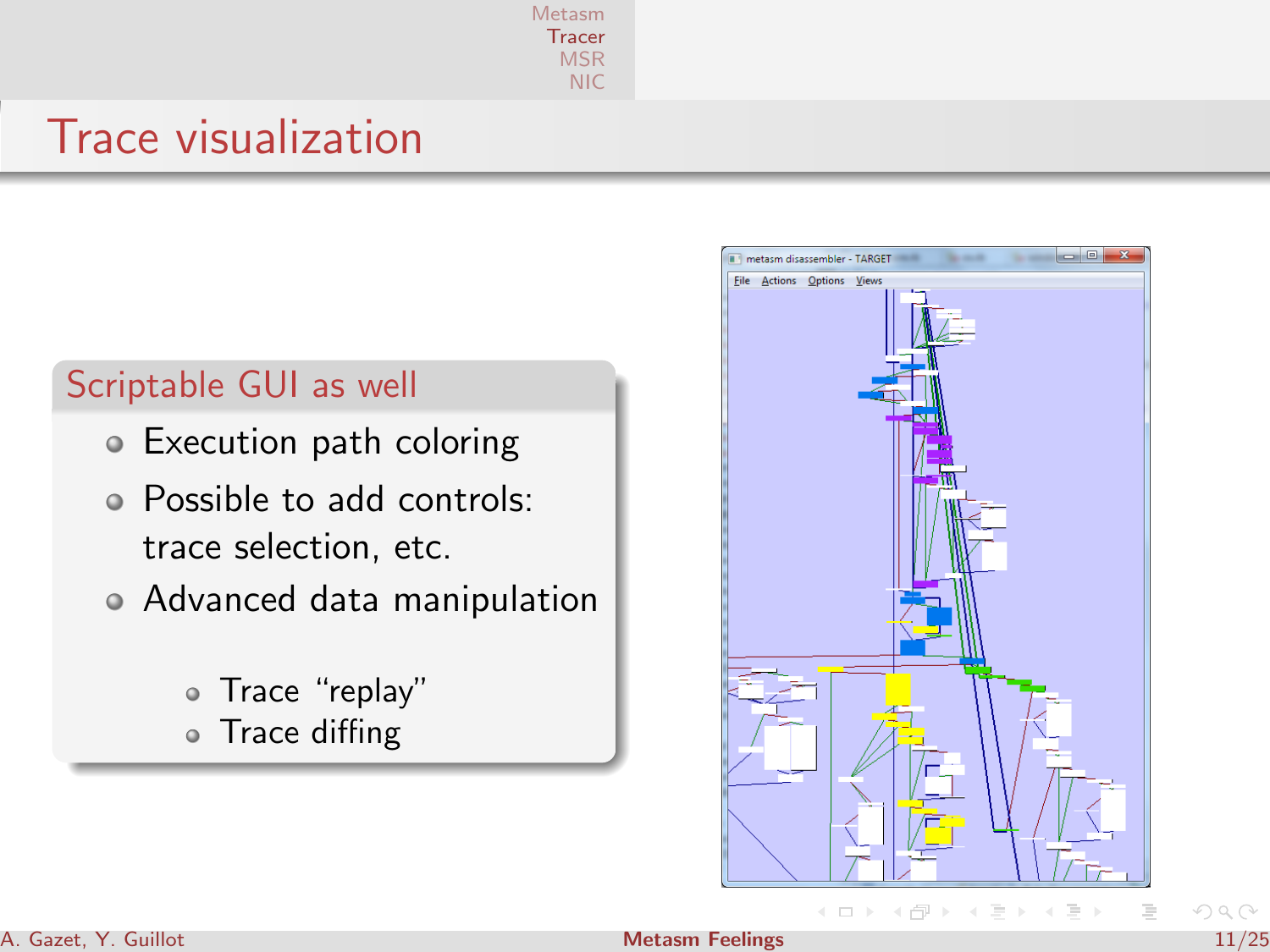[Metasm](#page-1-0) **[Tracer](#page-8-0)** [MSR](#page-12-0) [NIC](#page-19-0)

## Trace visualization

#### Scriptable GUI as well

- Execution path coloring
- Possible to add controls: trace selection, etc.
- Advanced data manipulation
	- Trace "replay"
	- Trace diffing



 $OQ$ 

#### A. Gazet, Y. Guillot [Metasm Feelings](#page-0-0) 11/25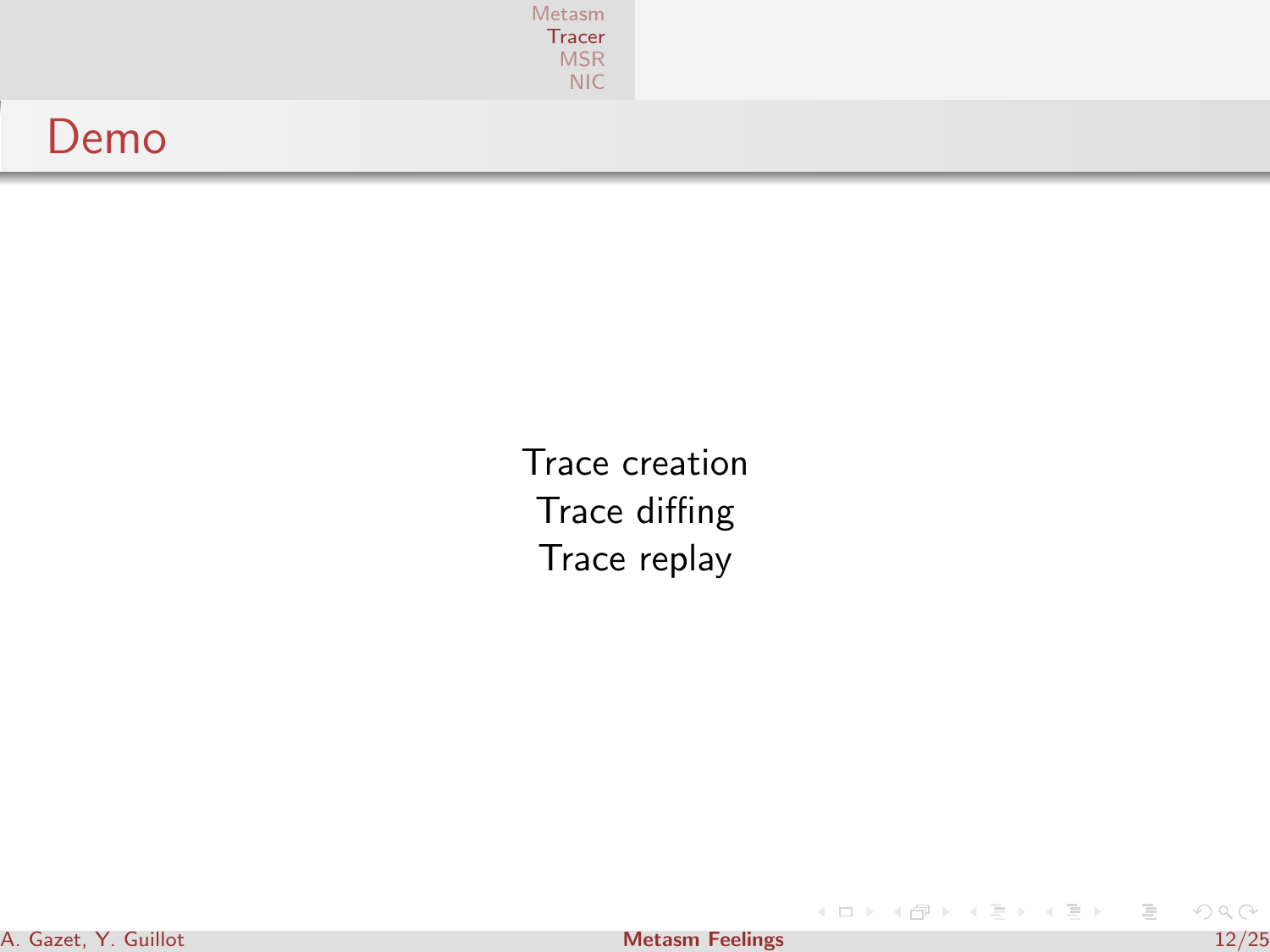|      | Metasm<br>Tracer<br>MSR<br>NIC |
|------|--------------------------------|
| Demo |                                |

Trace creation Trace diffing Trace replay

 $\mathcal{A} \subseteq \mathcal{D} \rightarrow \mathcal{A} \oplus \mathcal{B} \rightarrow \mathcal{A} \oplus \mathcal{B} \rightarrow \mathcal{A} \oplus \mathcal{B}$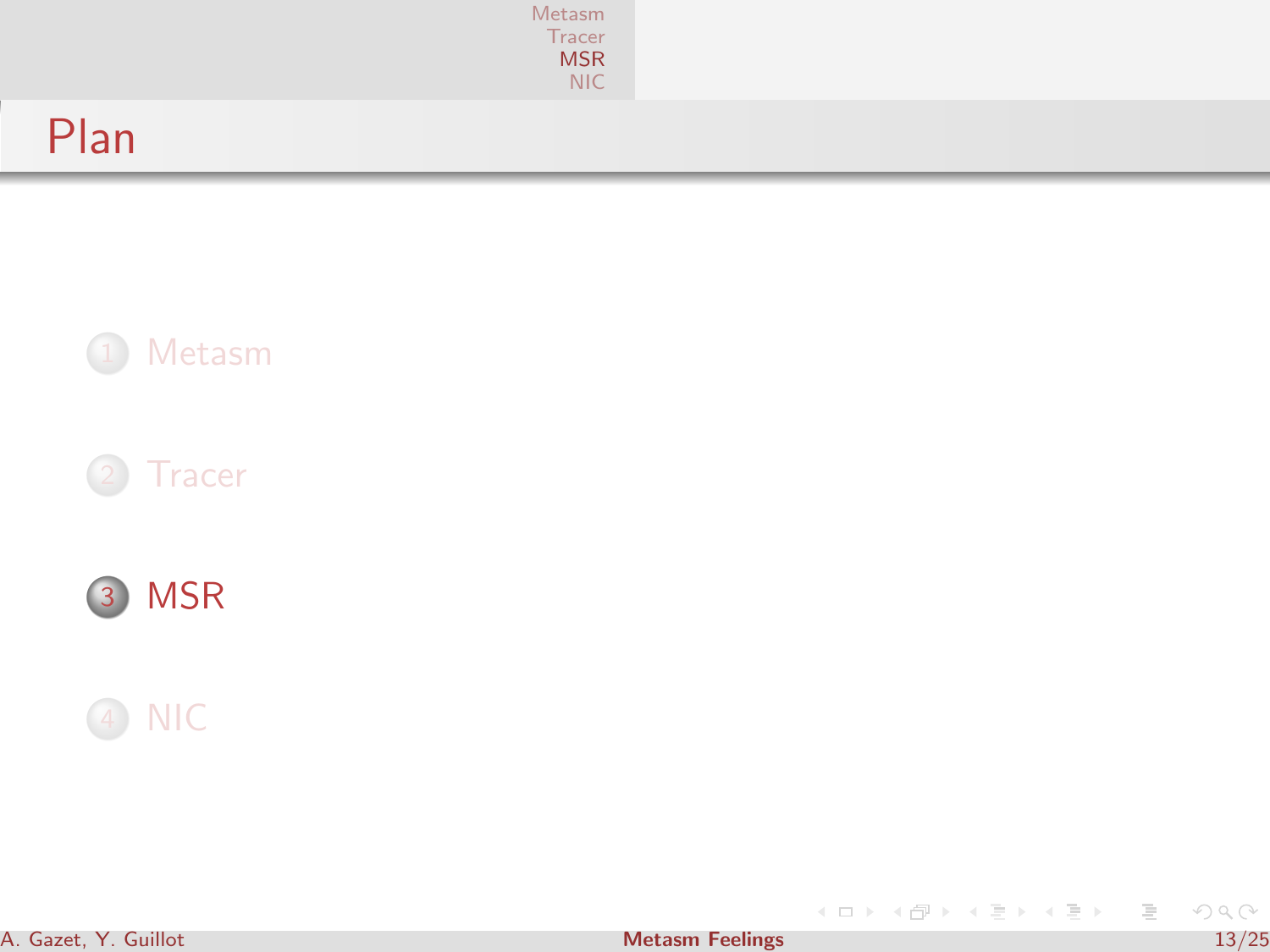|      | Metasm<br>Tracer<br><b>MSR</b><br>NIC |  |
|------|---------------------------------------|--|
| Plan |                                       |  |









<span id="page-12-0"></span>イロト (個) (変) (変) (変) 三重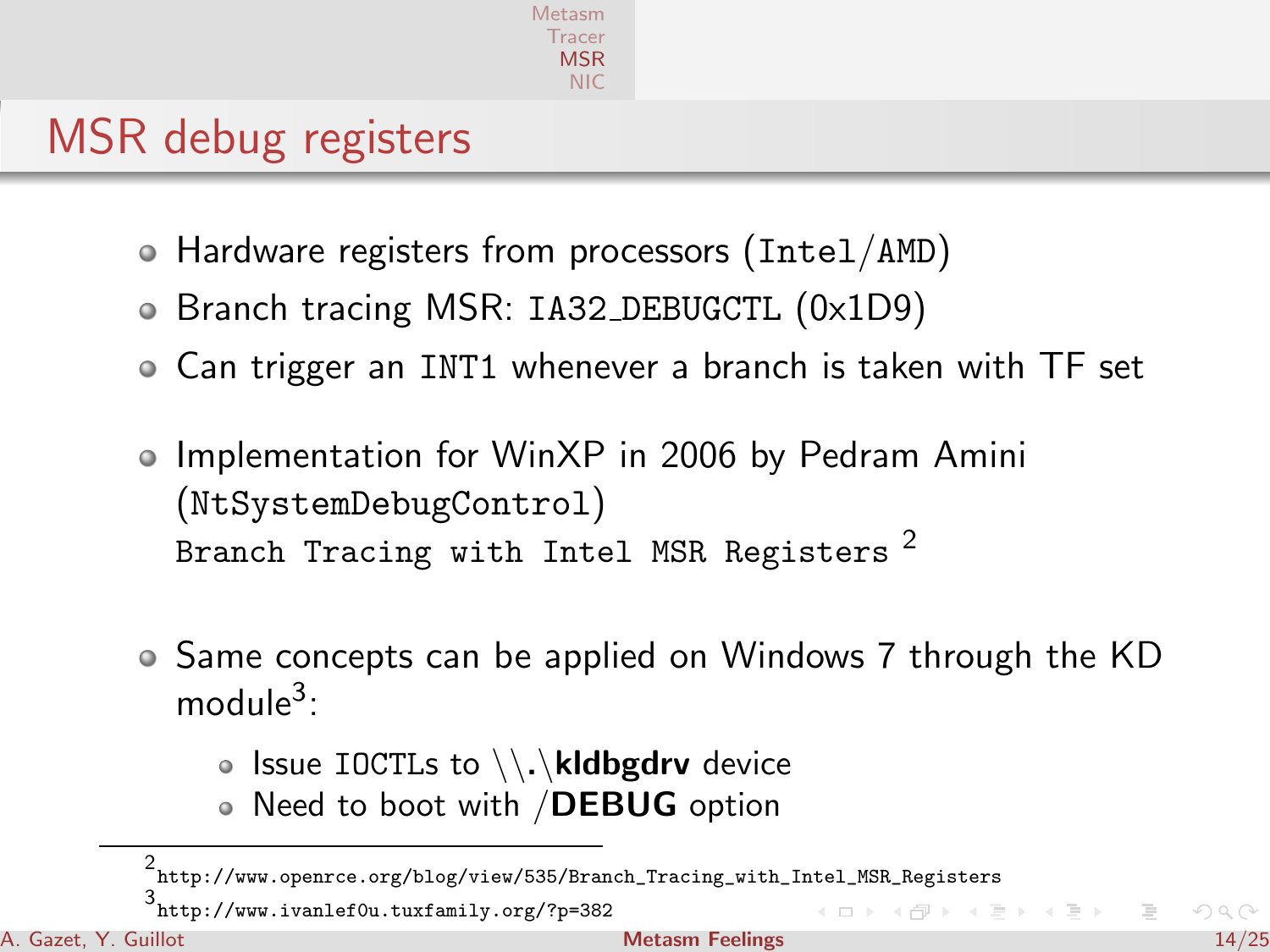# MSR debug registers

- Hardware registers from processors (Intel/AMD)
- Branch tracing MSR: IA32 DEBUGCTL (0x1D9)
- Can trigger an INT1 whenever a branch is taken with TF set
- Implementation for WinXP in 2006 by Pedram Amini (NtSystemDebugControl) Branch Tracing with Intel MSR Registers<sup>2</sup>
- Same concepts can be applied on Windows 7 through the KD module<sup>3</sup>:
	- $\bullet$  Issue IOCTLs to  $\lambda \setminus \lambda$ **kidbgdrv** device
	- Need to boot with /DEBUG option

3 <http://www.ivanlef0u.tuxfamily.org/?p=382>

<sup>2</sup> [http://www.openrce.org/blog/view/535/Branch\\_Tracing\\_with\\_Intel\\_MSR\\_Registers](http://www.openrce.org/blog/view/535/Branch_Tracing_with_Intel_MSR_Registers)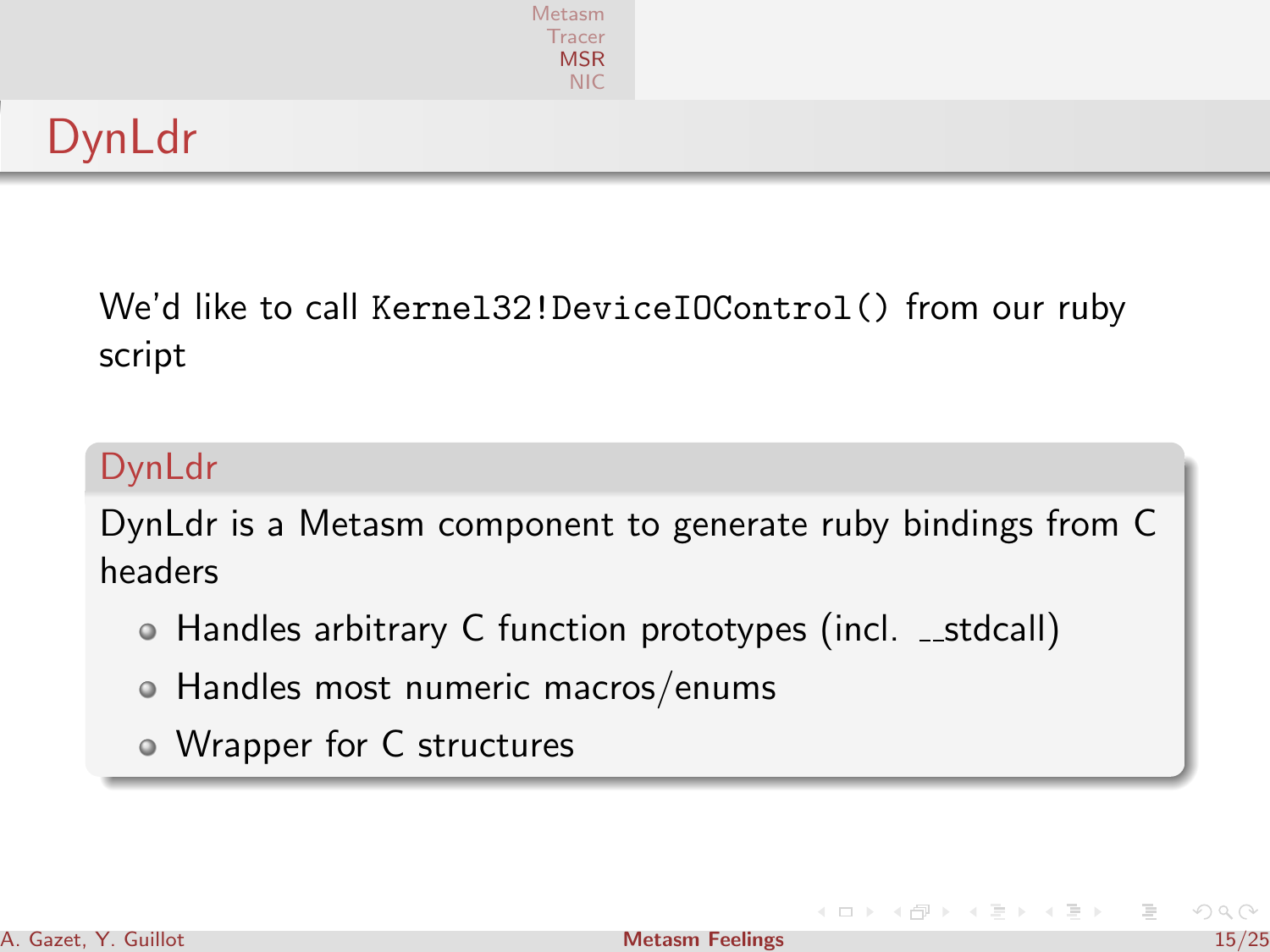

# DynLdr

We'd like to call Kernel32!DeviceIOControl() from our ruby script

#### DynLdr

DynLdr is a Metasm component to generate ruby bindings from C headers

- Handles arbitrary C function prototypes (incl. \_stdcall)
- Handles most numeric macros/enums
- Wrapper for C structures

イロト イ押ト イヨト

 $\equiv$   $\rightarrow$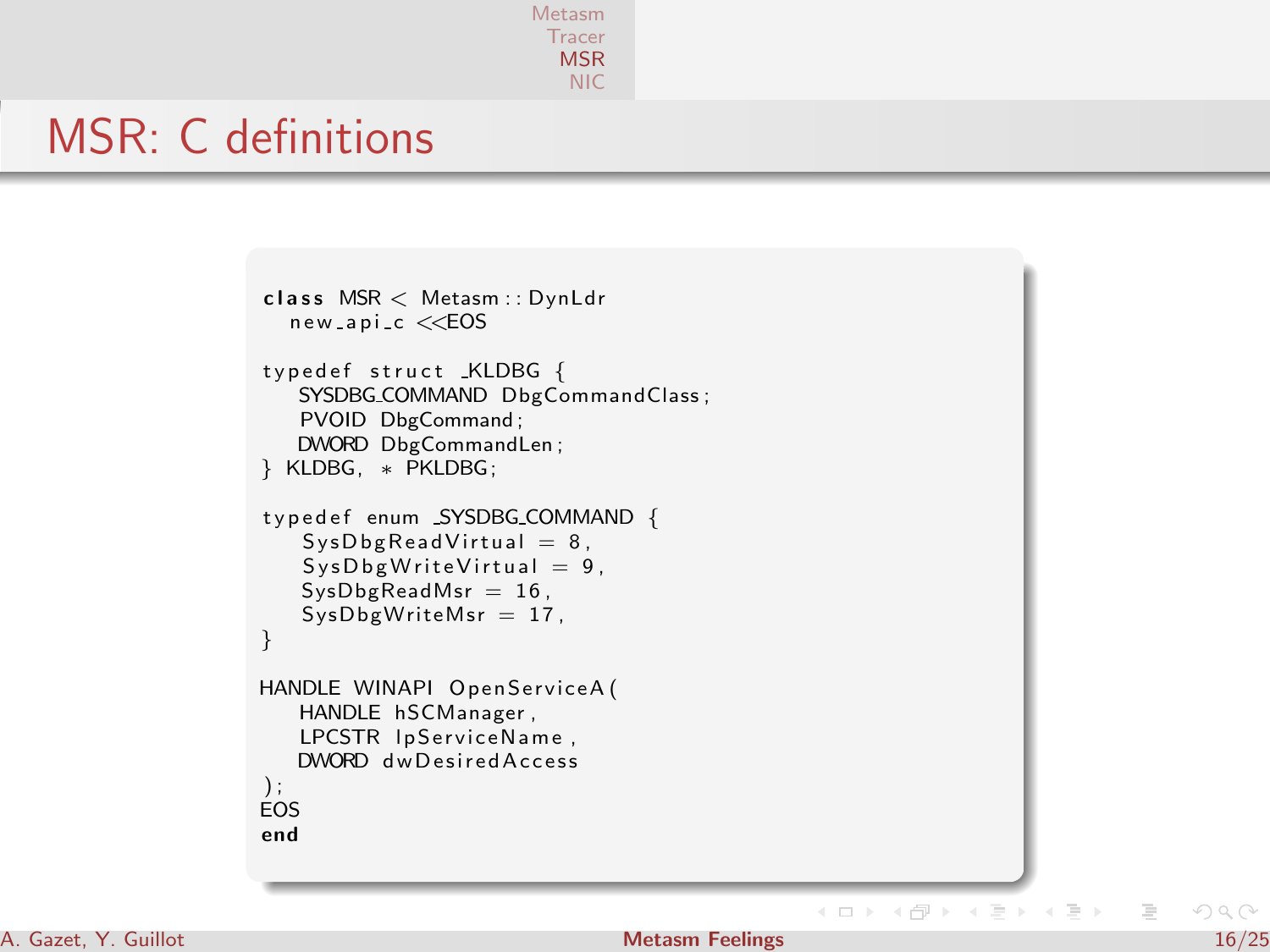[Metasm](#page-1-0) **[Tracer](#page-8-0)** [MSR](#page-12-0) [NIC](#page-19-0)

#### MSR: C definitions

```
class MSR < Metasm:: DynLdr
  new<sub>-api-c</sub> <<EOS
typedef struct _KLDBG {
   SYSDBG_COMMAND DbgCommandClass;
   PVOID DbgCommand ;
   DWORD DbgCommandLen ;
} KLDBG, ∗ PKLDBG;
typedef enum SYSDBG_COMMAND {
   SysDbgReadVirtual = 8,SysDbgWriteVirtual = 9,
   SysDbgReadMsr = 16.
   SysDbgWriteMsr = 17,
}
HANDLE WINAPI OpenServiceA (
   HANDLE hSCManager ,
   LPCSTR IpServiceName,
  DWORD dw Desired Access
\cdotEOS
end
```
#### A. Gazet, Y. Guillot 16/25 and 16/25 and 16/25 and 16/25 and 16/25 and 16/25 and 16/25 and 16/25 and 16/25 and 16/25

イロン イ押ン イヨン イヨン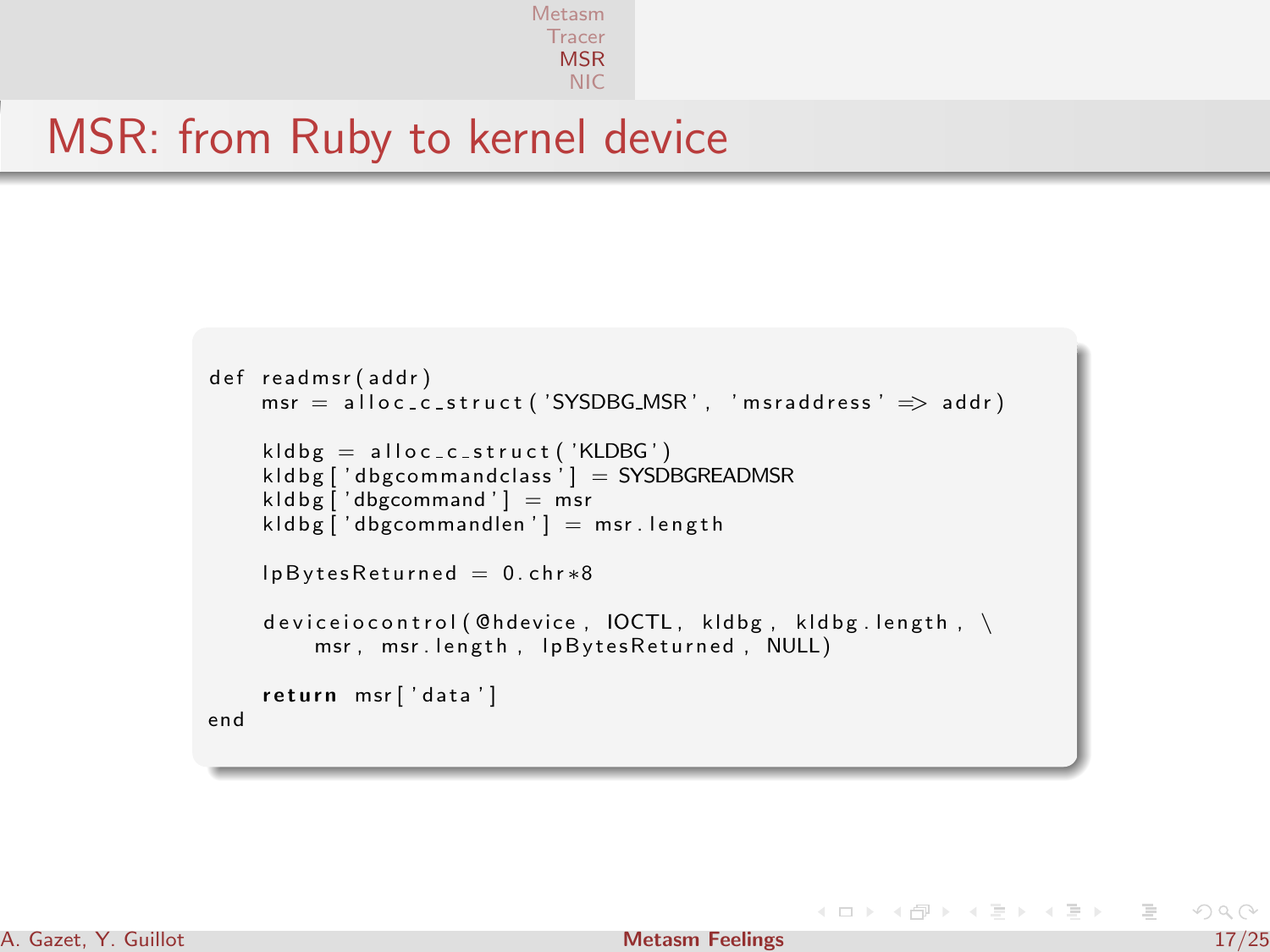[Metasm](#page-1-0) **[Tracer](#page-8-0)** [MSR](#page-12-0) [NIC](#page-19-0)

### MSR: from Ruby to kernel device

```
def readmsr (addr)
    msr = a \cdot \text{loc\_c\_struct('SYSDBG\_MSR'. 'msraddress' \implies addr)kldbg = alloc_c_struct ('KLDBG')
    kld bg ['d bgcommandclass'] = SYSDBGREADMSR
    k \cdot \text{Idbg} \left[ ' \text{dbgcommon} \right] = \text{msr}kldbef'dbegommandlen'l = msr. lenethlpBytesReturned = 0.chr*8deviceiocontrol (@hdevice, IOCTL, kldbg, kldbg.length, \
         msr, msr. length, lpBytesReturned, NULL)
    return msr['data']
end
```
イロト イ押ト イミト イミト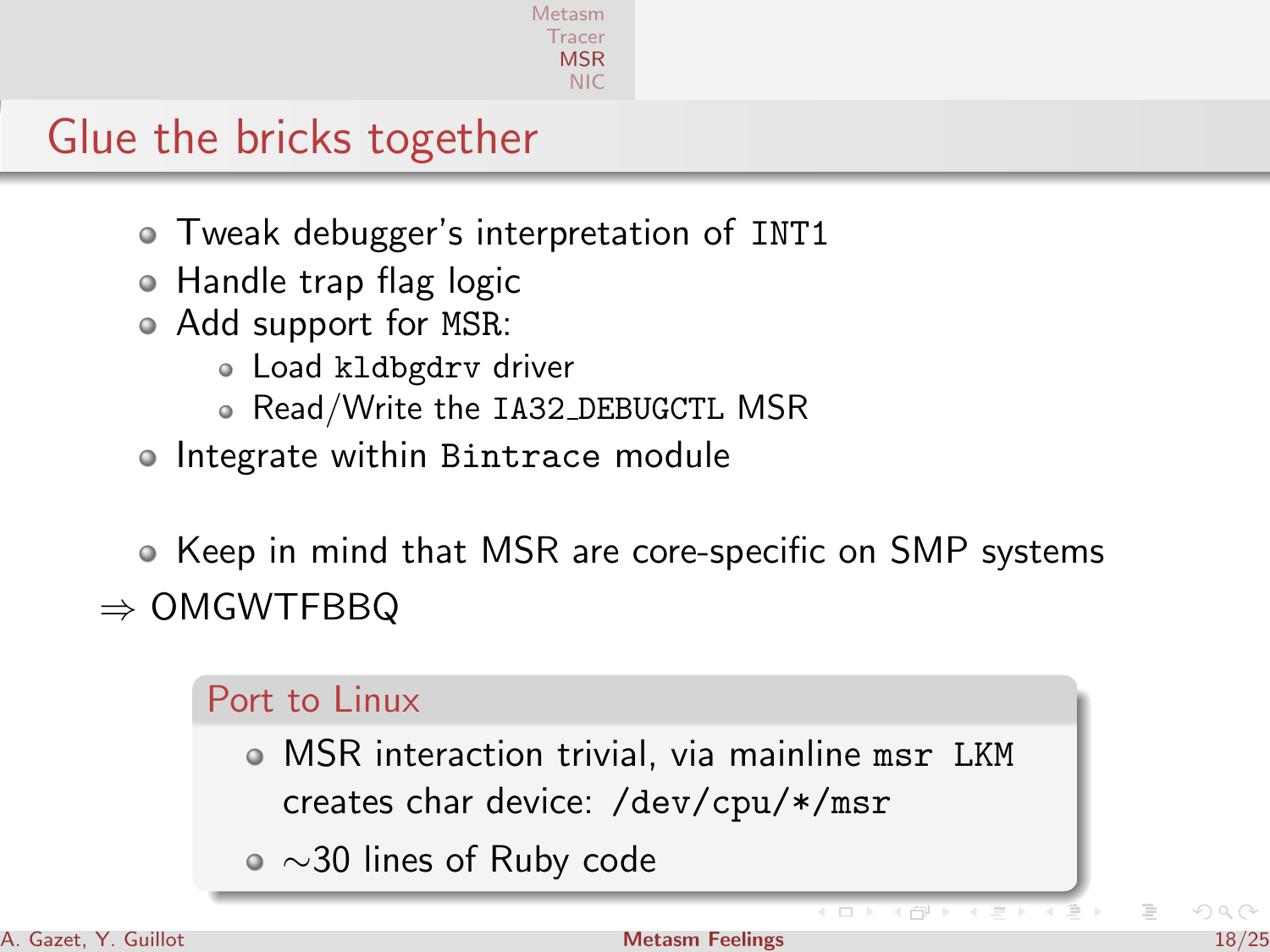# Glue the bricks together

- Tweak debugger's interpretation of INT1
- Handle trap flag logic
- Add support for MSR:
	- Load kldbgdrv driver
	- Read/Write the IA32 DEBUGCTL MSR
- Integrate within Bintrace module

Keep in mind that MSR are core-specific on SMP systems  $\Rightarrow$  OMGWTFBBQ

#### Port to Linux

- MSR interaction trivial, via mainline msr LKM creates char device: /dev/cpu/\*/msr
- ∼30 lines of Ruby code

 $\overline{4}$   $\overline{1}$ 

4 間上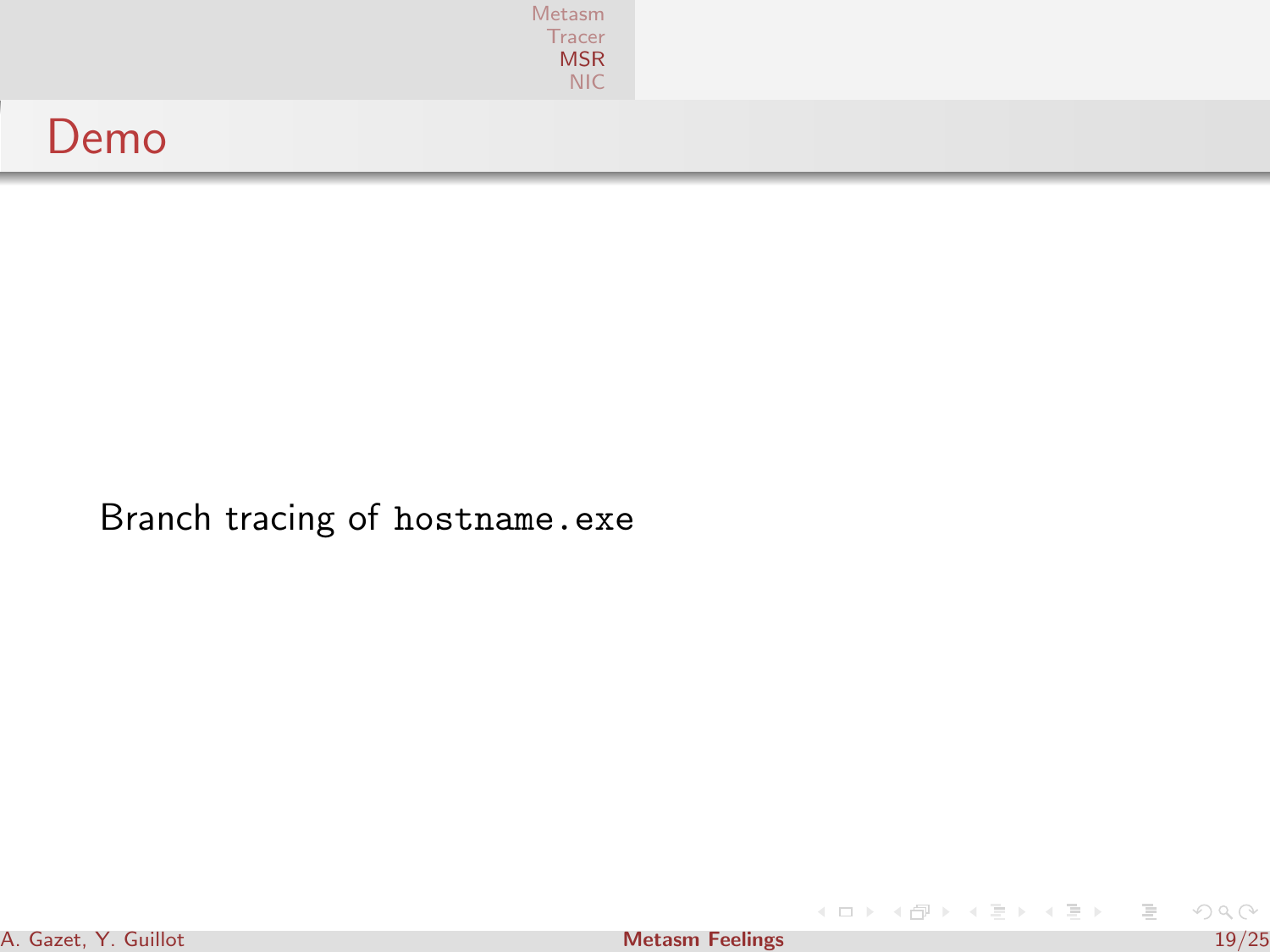| Metasm | Tracer<br>MSR<br>NIC |
|--------|----------------------|
| Demo   |                      |

Branch tracing of hostname.exe

 $A \equiv \mathbf{1} \times A \pmod{1} \times A \pmod{1} \times A \pmod{1}$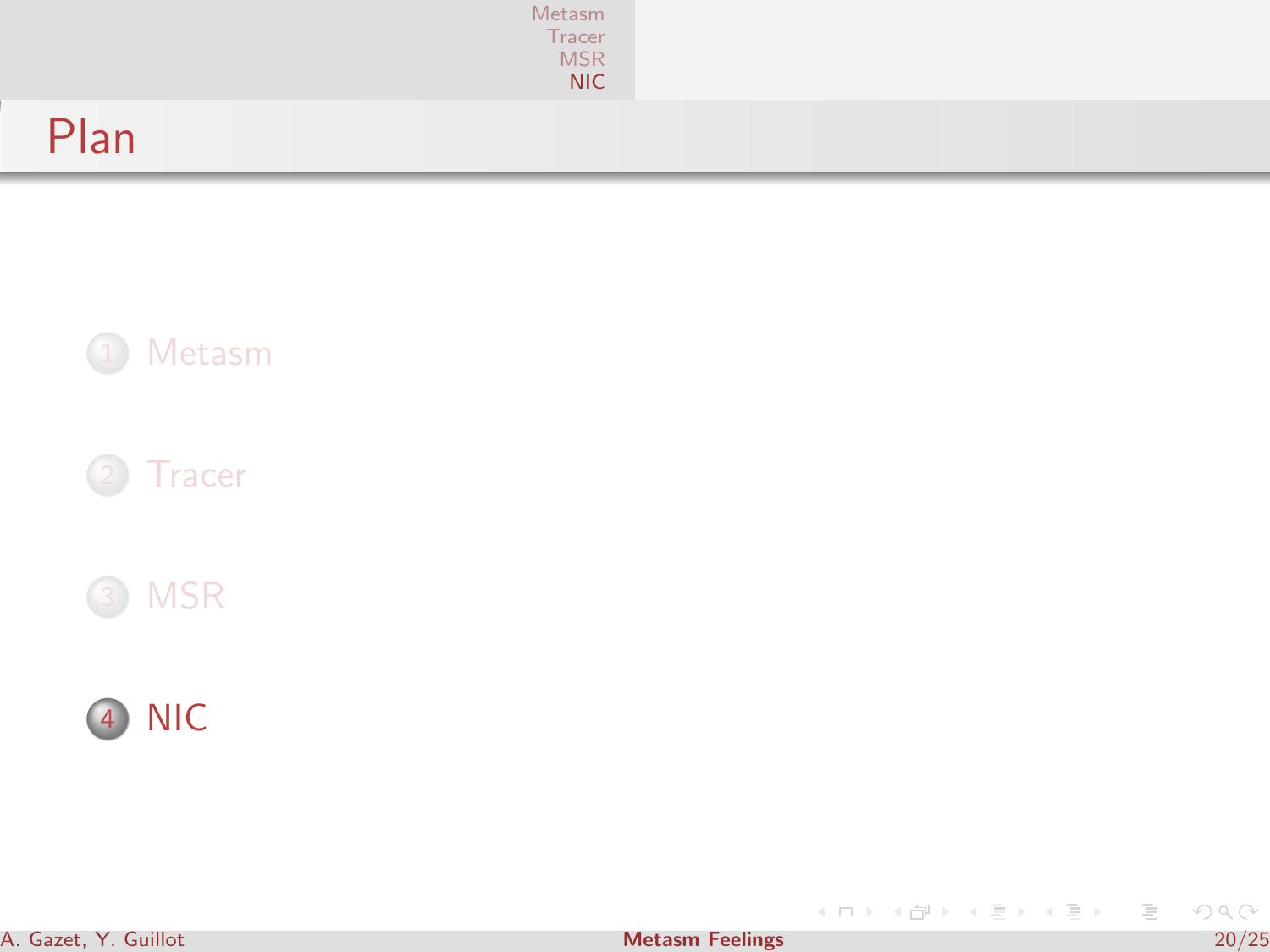|      | Metasm<br>Tracer<br>MSR<br><b>NIC</b> |  |
|------|---------------------------------------|--|
| Plan |                                       |  |





<span id="page-19-0"></span>イロト (個) (変) (変) (変) 三重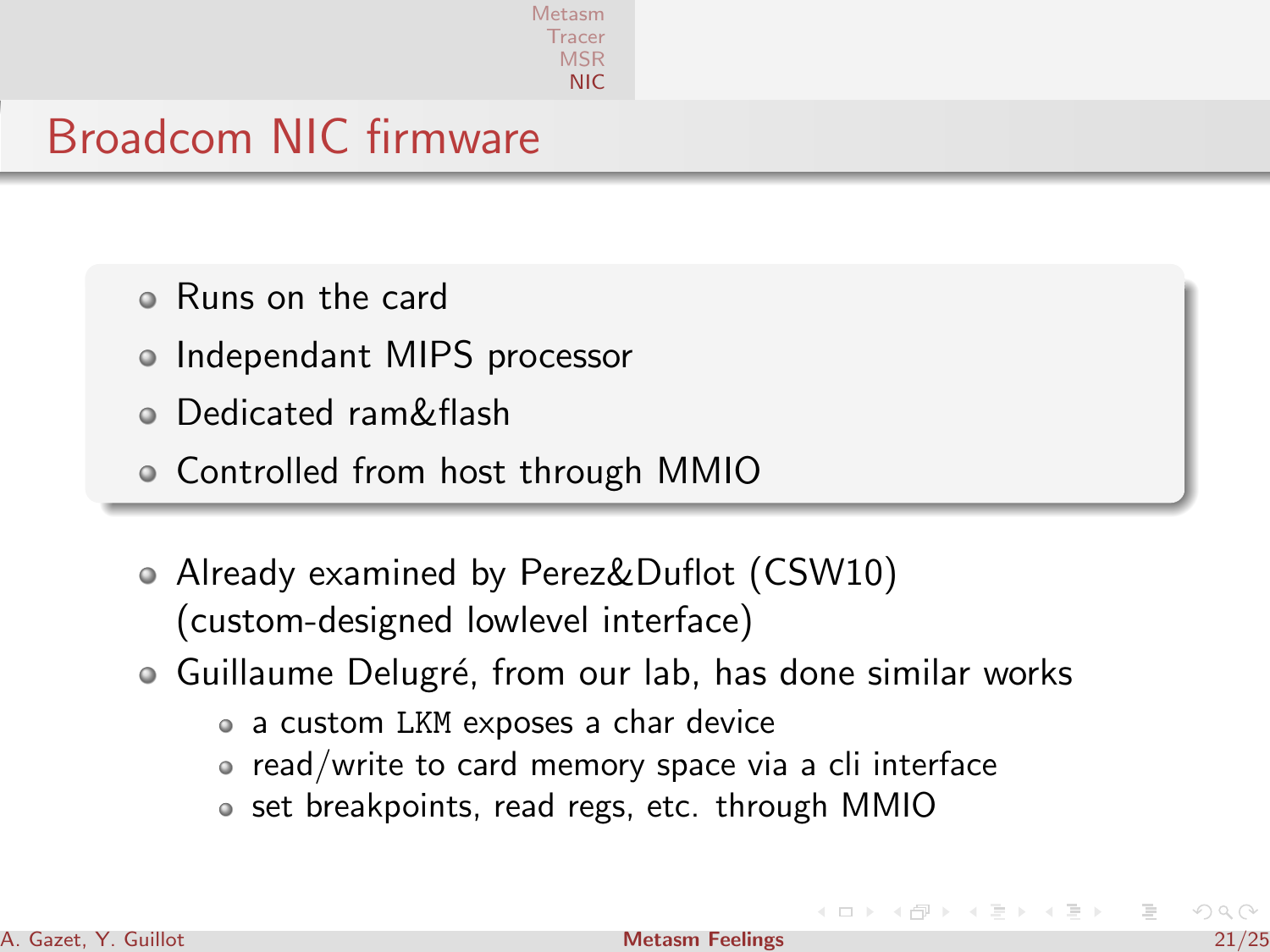[Metasm](#page-1-0) [Tracer](#page-8-0) [MSR](#page-12-0) [NIC](#page-19-0)

# Broadcom NIC firmware

- Runs on the card
- Independant MIPS processor
- Dedicated ram&flash
- Controlled from host through MMIO
- Already examined by Perez&Duflot (CSW10) (custom-designed lowlevel interface)
- Guillaume Delugré, from our lab, has done similar works
	- a custom LKM exposes a char device
	- $\bullet\,$  read/write to card memory space via a cli interface
	- $\bullet\,$  set breakpoints, read regs, etc. through MMIO

4 n + 3 n + 3 =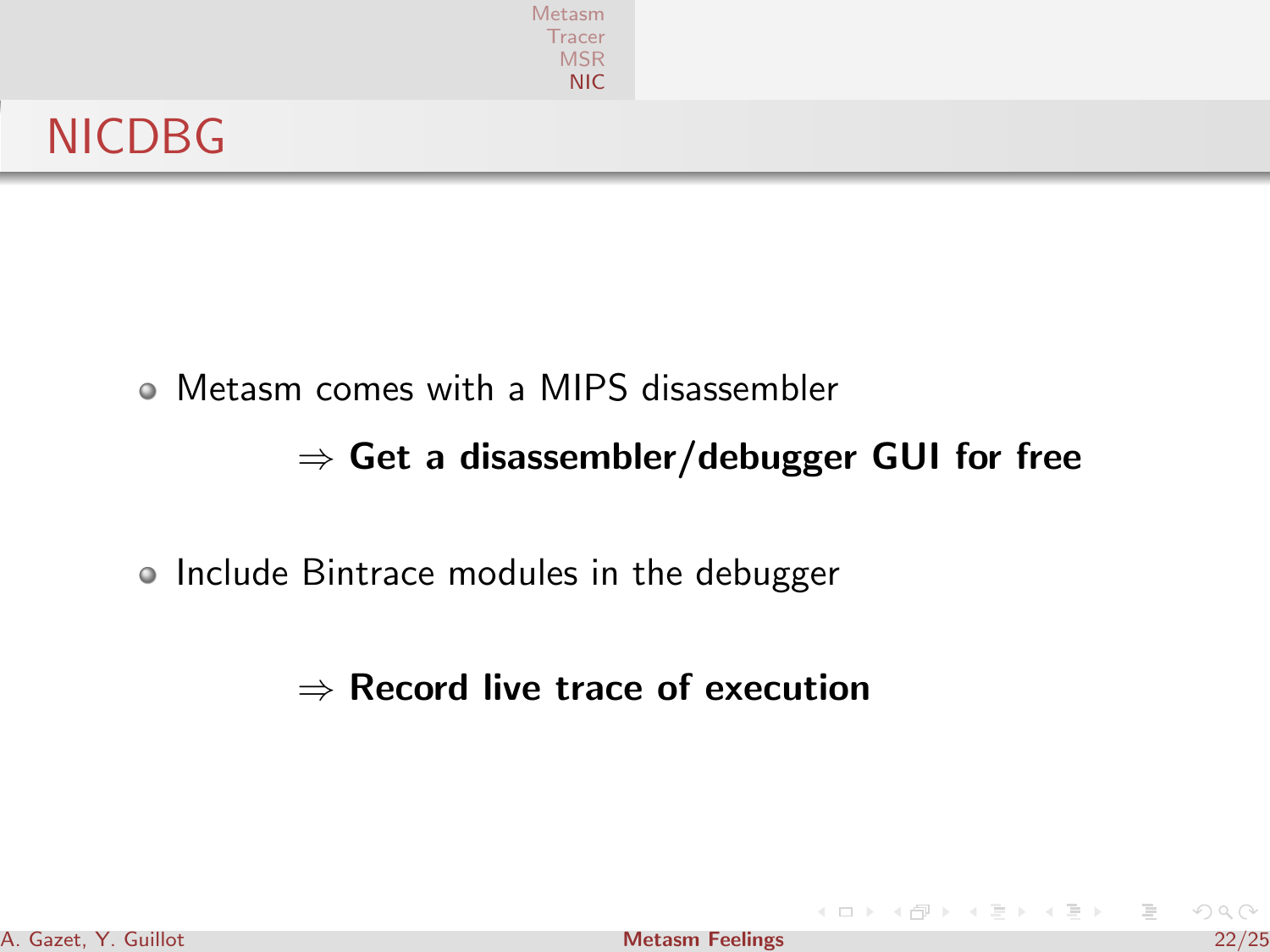|               | Metasm<br>Tracer<br>MSR<br>NIC |  |
|---------------|--------------------------------|--|
| <b>NICDBG</b> |                                |  |

Metasm comes with a MIPS disassembler

#### $\Rightarrow$  Get a disassembler/debugger GUI for free

• Include Bintrace modules in the debugger

#### $\Rightarrow$  Record live trace of execution

 $4$  ロ }  $4$   $\overline{r}$  }  $4$   $\overline{r}$  }

三 H 三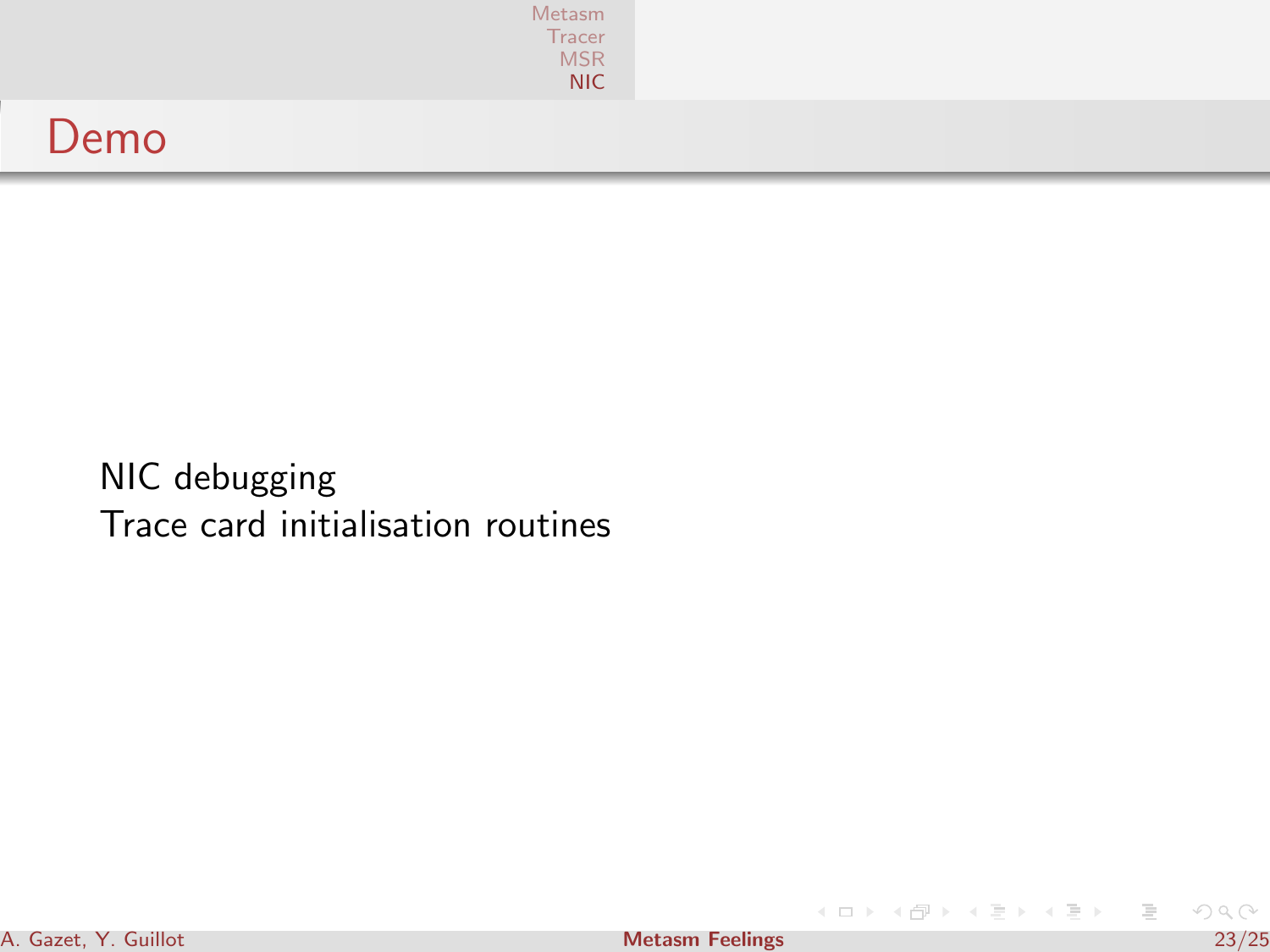|      | Metasm<br>Tracer<br>MSR<br>NIC |  |
|------|--------------------------------|--|
| Demo |                                |  |

NIC debugging Trace card initialisation routines

 $4$  ロ }  $4$   $\overline{7}$  }  $4$   $\overline{2}$  }

 $\equiv$   $\rightarrow$  $\equiv$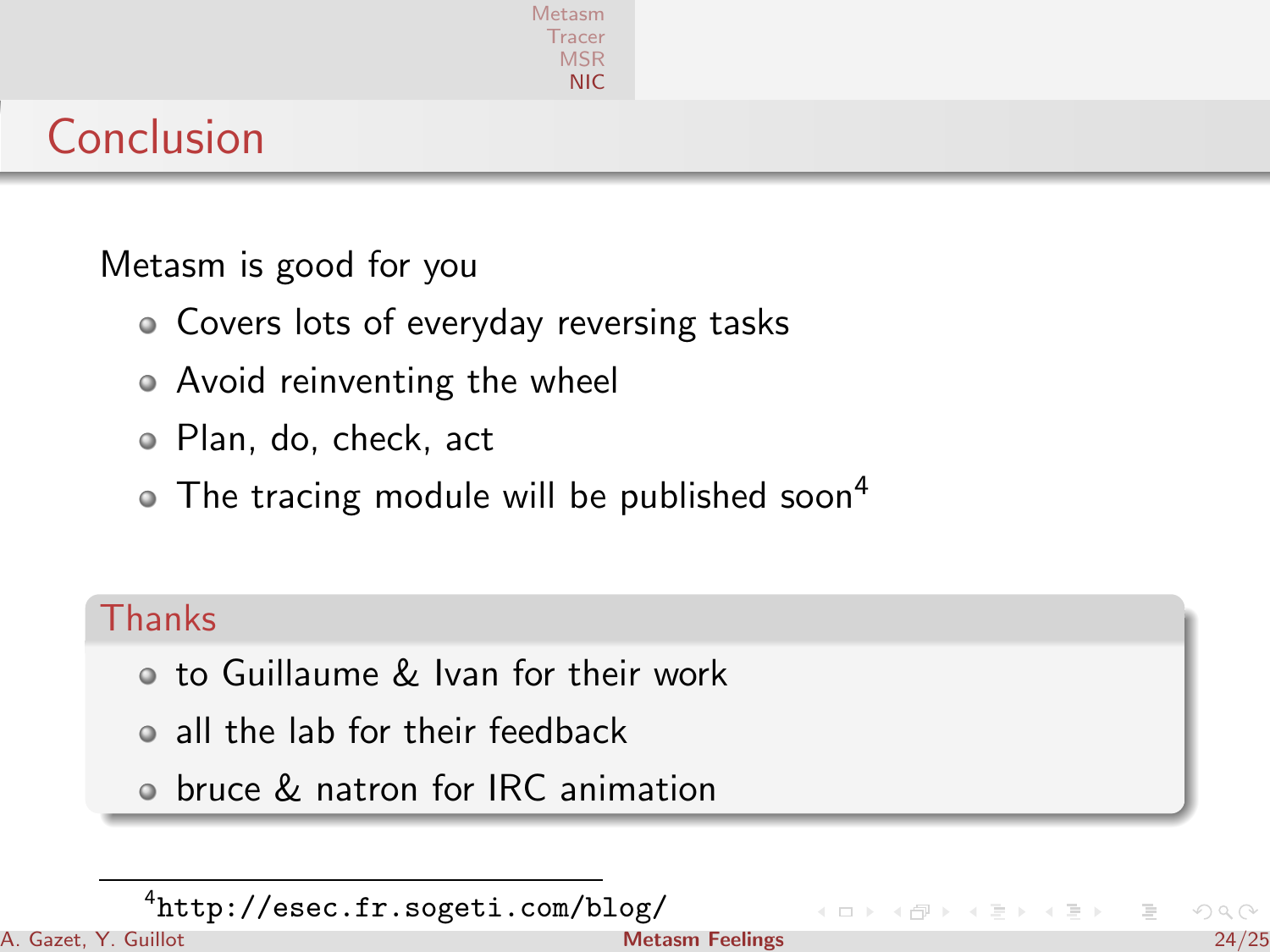

# Conclusion

Metasm is good for you

- Covers lots of everyday reversing tasks
- Avoid reinventing the wheel
- Plan, do, check, act
- $\bullet$  The tracing module will be published soon<sup>4</sup>

#### **Thanks**

- o to Guillaume & Ivan for their work
- all the lab for their feedback
- bruce & natron for IRC animation

 $(1,1)$   $(1,1)$ 

<sup>4</sup> <http://esec.fr.sogeti.com/blog/>